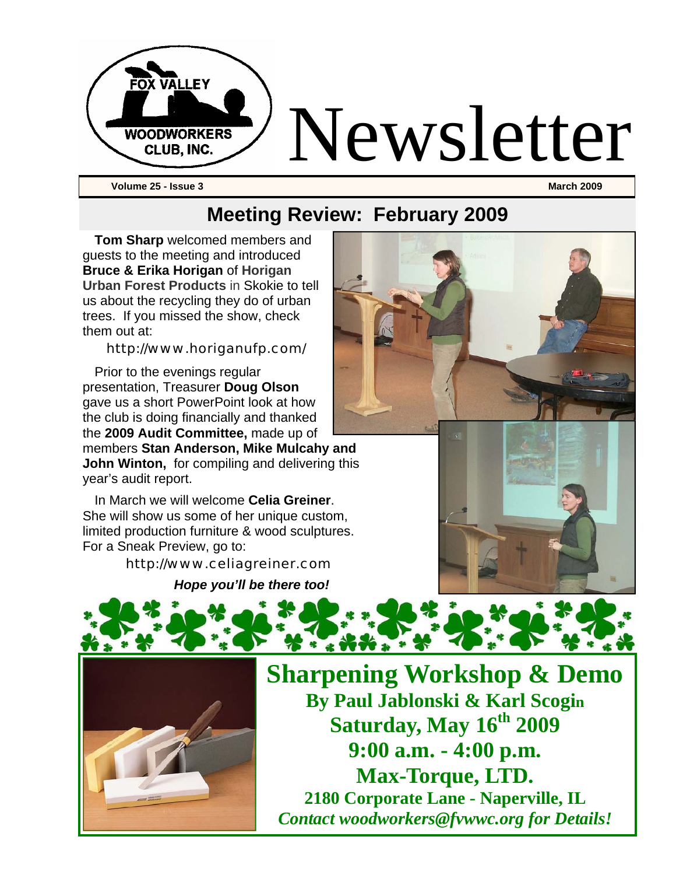

**Volume 25 - Issue 3 March 2009** 

### **Meeting Review: February 2009**

**Tom Sharp** welcomed members and guests to the meeting and introduced **Bruce & Erika Horigan** of **Horigan Urban Forest Products** in Skokie to tell us about the recycling they do of urban trees. If you missed the show, check them out at:

#### http://www.horiganufp.com/

Prior to the evenings regular presentation, Treasurer **Doug Olson** gave us a short PowerPoint look at how the club is doing financially and thanked the **2009 Audit Committee,** made up of

members **Stan Anderson, Mike Mulcahy and John Winton,** for compiling and delivering this year's audit report.

In March we will welcome **Celia Greiner**. She will show us some of her unique custom, limited production furniture & wood sculptures. For a Sneak Preview, go to:

http://www.celiagreiner.com



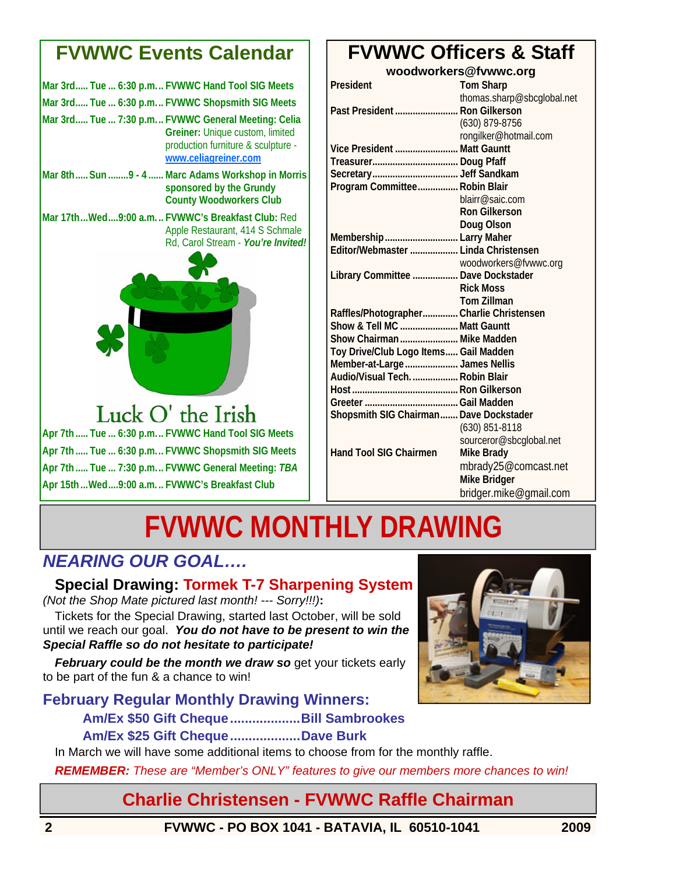### **FVWWC Events Calendar**

|  | Mar 3rd Tue  6:30 p.m FVWWC Hand Tool SIG Meets                                                                                                     |
|--|-----------------------------------------------------------------------------------------------------------------------------------------------------|
|  | Mar 3rd Tue  6:30 p.m FVWWC Shopsmith SIG Meets                                                                                                     |
|  | Mar 3rd Tue  7:30 p.m FVWWC General Meeting: Celia<br>Greiner: Unique custom, limited<br>production furniture & sculpture -<br>www.celiagreiner.com |
|  | Mar 8th Sun  9 - 4  Marc Adams Workshop in Morris<br>sponsored by the Grundy<br><b>County Woodworkers Club</b>                                      |
|  | Mar 17thWed9:00 a.m FVWWC's Breakfast Club: Red<br>Apple Restaurant, 414 S Schmale<br>Rd, Carol Stream - You're Invited!                            |
|  |                                                                                                                                                     |

### Luck O' the Irish **Apr 7th ..... Tue ... 6:30 p.m... FVWWC Hand Tool SIG Meets**

**Apr 7th ..... Tue ... 6:30 p.m... FVWWC Shopsmith SIG Meets Apr 7th ..... Tue ... 7:30 p.m... FVWWC General Meeting:** *TBA* **Apr 15th ...Wed....9:00 a.m. .. FVWWC's Breakfast Club** 

### **FVWWC Officers & Staff**

**woodworkers@fvwwc.org** 

| President                                | <b>Tom Sharp</b>           |
|------------------------------------------|----------------------------|
|                                          | thomas.sharp@sbcglobal.net |
| Past President  Ron Gilkerson            |                            |
|                                          | (630) 879-8756             |
|                                          | rongilker@hotmail.com      |
| Vice President  Matt Gauntt              |                            |
|                                          |                            |
|                                          |                            |
| Program Committee Robin Blair            |                            |
|                                          | blairr@saic.com            |
|                                          | <b>Ron Gilkerson</b>       |
|                                          | Doug Olson                 |
| Membership  Larry Maher                  |                            |
| Editor/Webmaster  Linda Christensen      |                            |
|                                          | woodworkers@fvwwc.org      |
| Library Committee  Dave Dockstader       |                            |
|                                          | <b>Rick Moss</b>           |
|                                          | <b>Tom Zillman</b>         |
| Raffles/Photographer Charlie Christensen |                            |
| Show & Tell MC  Matt Gauntt              |                            |
| Show Chairman  Mike Madden               |                            |
| Toy Drive/Club Logo Items Gail Madden    |                            |
| Member-at-Large  James Nellis            |                            |
| Audio/Visual Tech Robin Blair            |                            |
|                                          |                            |
|                                          |                            |
| Shopsmith SIG Chairman Dave Dockstader   |                            |
|                                          | (630) 851-8118             |
|                                          | sourceror@sbcglobal.net    |
| Hand Tool SIG Chairmen                   | <b>Mike Brady</b>          |
|                                          | mbrady25@comcast.net       |
|                                          | <b>Mike Bridger</b>        |
|                                          | bridger.mike@gmail.com     |

# **FVWWC MONTHLY DRAWING**

### *NEARING OUR GOAL….*

**Special Drawing: Tormek T-7 Sharpening System**

*(Not the Shop Mate pictured last month! --- Sorry!!!)***:** Tickets for the Special Drawing, started last October, will be sold until we reach our goal. *You do not have to be present to win the Special Raffle so do not hesitate to participate!* 

*February could be the month we draw so get your tickets early* to be part of the fun & a chance to win!

#### **February Regular Monthly Drawing Winners: Am/Ex \$50 Gift Cheque...................Bill Sambrookes Am/Ex \$25 Gift Cheque...................Dave Burk**

In March we will have some additional items to choose from for the monthly raffle.

*REMEMBER: These are "Member's ONLY" features to give our members more chances to win!* 

### **Charlie Christensen - FVWWC Raffle Chairman**

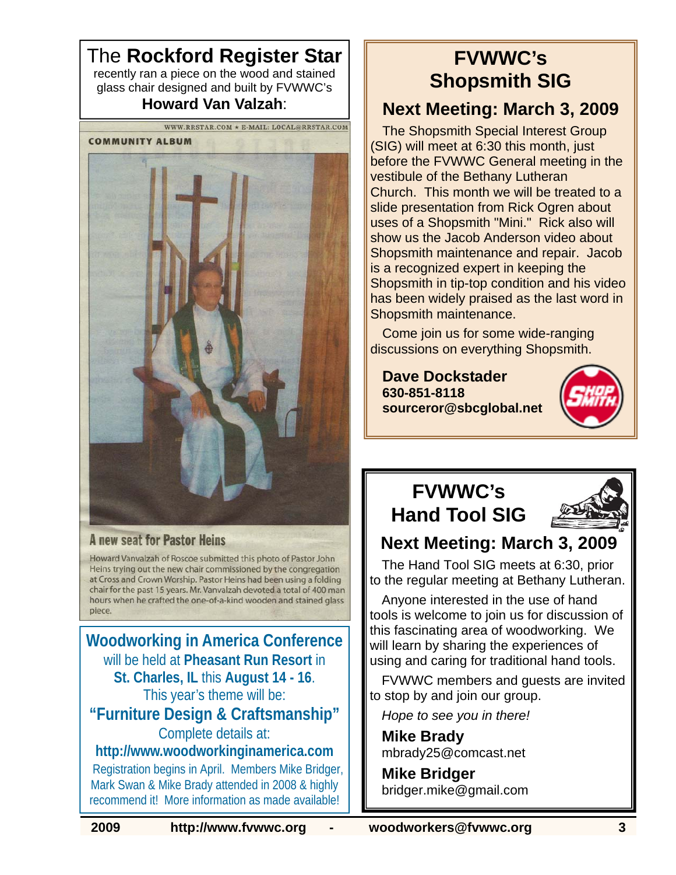The **Rockford Register Star** recently ran a piece on the wood and stained glass chair designed and built by FVWWC's **Howard Van Valzah**:



#### **A new seat for Pastor Heins**

Howard Vanvalzah of Roscoe submitted this photo of Pastor John Heins trying out the new chair commissioned by the congregation at Cross and Crown Worship. Pastor Heins had been using a folding chair for the past 15 years. Mr. Vanvalzah devoted a total of 400 man hours when he crafted the one-of-a-kind wooden and stained glass piece.

**Woodworking in America Conference** will be held at **Pheasant Run Resort** in **St. Charles, IL** this **August 14 - 16**. This year's theme will be: **"Furniture Design & Craftsmanship"** Complete details at: **http://www.woodworkinginamerica.com** Registration begins in April. Members Mike Bridger, Mark Swan & Mike Brady attended in 2008 & highly

recommend it! More information as made available!

# **FVWWC's Shopsmith SIG**

### **Next Meeting: March 3, 2009**

The Shopsmith Special Interest Group (SIG) will meet at 6:30 this month, just before the FVWWC General meeting in the vestibule of the Bethany Lutheran Church. This month we will be treated to a slide presentation from Rick Ogren about uses of a Shopsmith "Mini." Rick also will show us the Jacob Anderson video about Shopsmith maintenance and repair. Jacob is a recognized expert in keeping the Shopsmith in tip-top condition and his video has been widely praised as the last word in Shopsmith maintenance.

Come join us for some wide-ranging discussions on everything Shopsmith.

**Dave Dockstader 630-851-8118 sourceror@sbcglobal.net**



### **FVWWC's Hand Tool SIG**



### **Next Meeting: March 3, 2009**

The Hand Tool SIG meets at 6:30, prior to the regular meeting at Bethany Lutheran.

Anyone interested in the use of hand tools is welcome to join us for discussion of this fascinating area of woodworking. We will learn by sharing the experiences of using and caring for traditional hand tools.

FVWWC members and guests are invited to stop by and join our group.

*Hope to see you in there!* 

**Mike Brady**  mbrady25@comcast.net

**Mike Bridger**  bridger.mike@gmail.com

**2009 http://www.fvwwc.org - woodworkers@fvwwc.org 3**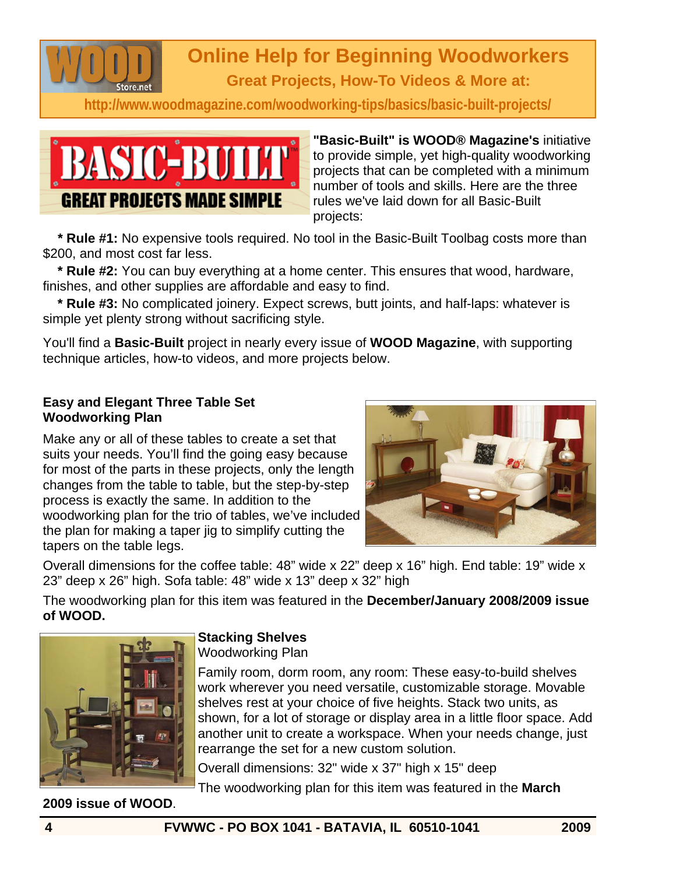

# **Online Help for Beginning Woodworkers**

**Great Projects, How-To Videos & More at:** 

**http://www.woodmagazine.com/woodworking-tips/basics/basic-built-projects/**



**"Basic-Built" is WOOD® Magazine's** initiative to provide simple, yet high-quality woodworking projects that can be completed with a minimum number of tools and skills. Here are the three rules we've laid down for all Basic-Built projects:

 **\* Rule #1:** No expensive tools required. No tool in the Basic-Built Toolbag costs more than \$200, and most cost far less.

 **\* Rule #2:** You can buy everything at a home center. This ensures that wood, hardware, finishes, and other supplies are affordable and easy to find.

 **\* Rule #3:** No complicated joinery. Expect screws, butt joints, and half-laps: whatever is simple yet plenty strong without sacrificing style.

You'll find a **Basic-Built** project in nearly every issue of **WOOD Magazine**, with supporting technique articles, how-to videos, and more projects below.

#### **Easy and Elegant Three Table Set Woodworking Plan**

Make any or all of these tables to create a set that suits your needs. You'll find the going easy because for most of the parts in these projects, only the length changes from the table to table, but the step-by-step process is exactly the same. In addition to the woodworking plan for the trio of tables, we've included the plan for making a taper jig to simplify cutting the tapers on the table legs.



Overall dimensions for the coffee table: 48" wide x 22" deep x 16" high. End table: 19" wide x 23" deep x 26" high. Sofa table: 48" wide x 13" deep x 32" high

The woodworking plan for this item was featured in the **December/January 2008/2009 issue of WOOD.** 



### **Stacking Shelves**

Woodworking Plan

Family room, dorm room, any room: These easy-to-build shelves work wherever you need versatile, customizable storage. Movable shelves rest at your choice of five heights. Stack two units, as shown, for a lot of storage or display area in a little floor space. Add another unit to create a workspace. When your needs change, just rearrange the set for a new custom solution.

Overall dimensions: 32" wide x 37" high x 15" deep

The woodworking plan for this item was featured in the **March** 

**2009 issue of WOOD**.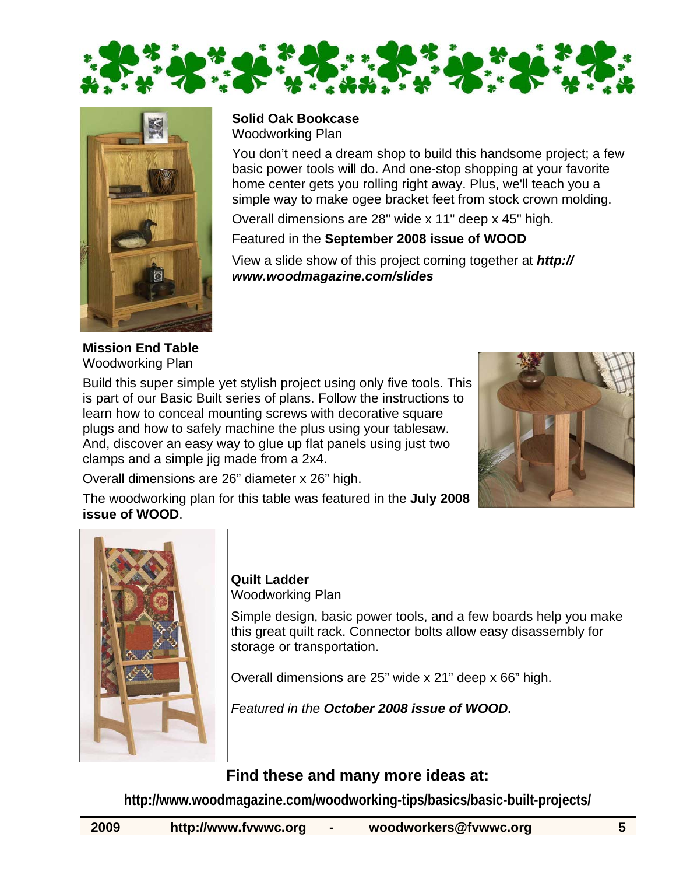



**Solid Oak Bookcase**  Woodworking Plan

You don't need a dream shop to build this handsome project; a few basic power tools will do. And one-stop shopping at your favorite home center gets you rolling right away. Plus, we'll teach you a simple way to make ogee bracket feet from stock crown molding.

Overall dimensions are 28" wide x 11" deep x 45" high.

Featured in the **September 2008 issue of WOOD**

View a slide show of this project coming together at *http:// www.woodmagazine.com/slides*

**Mission End Table**  Woodworking Plan

Build this super simple yet stylish project using only five tools. This is part of our Basic Built series of plans. Follow the instructions to learn how to conceal mounting screws with decorative square plugs and how to safely machine the plus using your tablesaw. And, discover an easy way to glue up flat panels using just two clamps and a simple jig made from a 2x4.



Overall dimensions are 26" diameter x 26" high.

The woodworking plan for this table was featured in the **July 2008 issue of WOOD**.



**Quilt Ladder**  Woodworking Plan

Simple design, basic power tools, and a few boards help you make this great quilt rack. Connector bolts allow easy disassembly for storage or transportation.

Overall dimensions are 25" wide x 21" deep x 66" high.

*Featured in the October 2008 issue of WOOD***.** 

### **Find these and many more ideas at:**

**http://www.woodmagazine.com/woodworking-tips/basics/basic-built-projects/**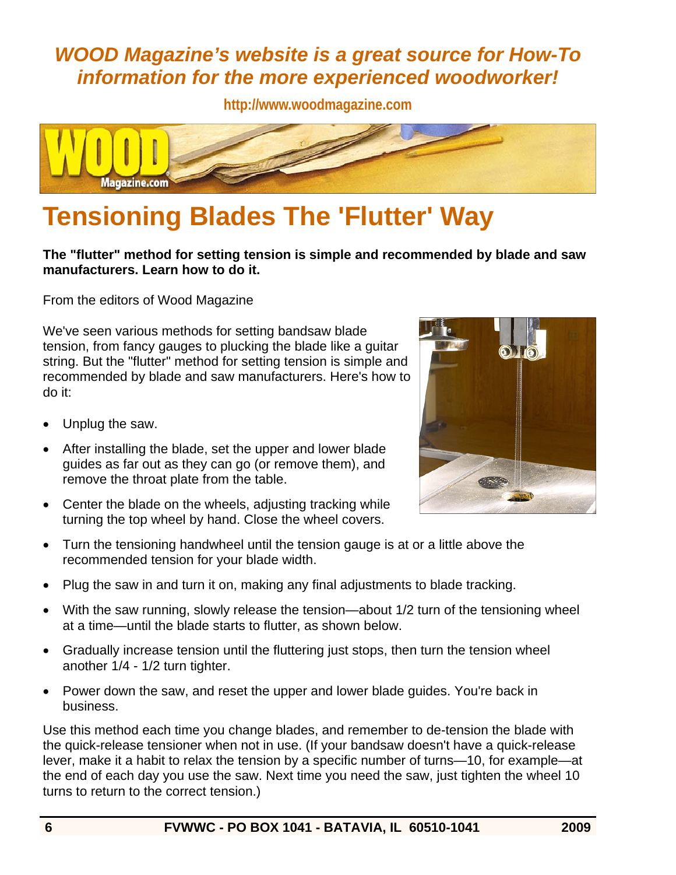### *WOOD Magazine's website is a great source for How-To information for the more experienced woodworker!*

**http://www.woodmagazine.com** 



# **Tensioning Blades The 'Flutter' Way**

**The "flutter" method for setting tension is simple and recommended by blade and saw manufacturers. Learn how to do it.** 

From the editors of Wood Magazine

We've seen various methods for setting bandsaw blade tension, from fancy gauges to plucking the blade like a guitar string. But the "flutter" method for setting tension is simple and recommended by blade and saw manufacturers. Here's how to do it:

- Unplug the saw.
- After installing the blade, set the upper and lower blade guides as far out as they can go (or remove them), and remove the throat plate from the table.
- Center the blade on the wheels, adjusting tracking while turning the top wheel by hand. Close the wheel covers.



- Turn the tensioning handwheel until the tension gauge is at or a little above the recommended tension for your blade width.
- Plug the saw in and turn it on, making any final adjustments to blade tracking.
- With the saw running, slowly release the tension—about 1/2 turn of the tensioning wheel at a time—until the blade starts to flutter, as shown below.
- Gradually increase tension until the fluttering just stops, then turn the tension wheel another 1/4 - 1/2 turn tighter.
- Power down the saw, and reset the upper and lower blade guides. You're back in business.

Use this method each time you change blades, and remember to de-tension the blade with the quick-release tensioner when not in use. (If your bandsaw doesn't have a quick-release lever, make it a habit to relax the tension by a specific number of turns—10, for example—at the end of each day you use the saw. Next time you need the saw, just tighten the wheel 10 turns to return to the correct tension.)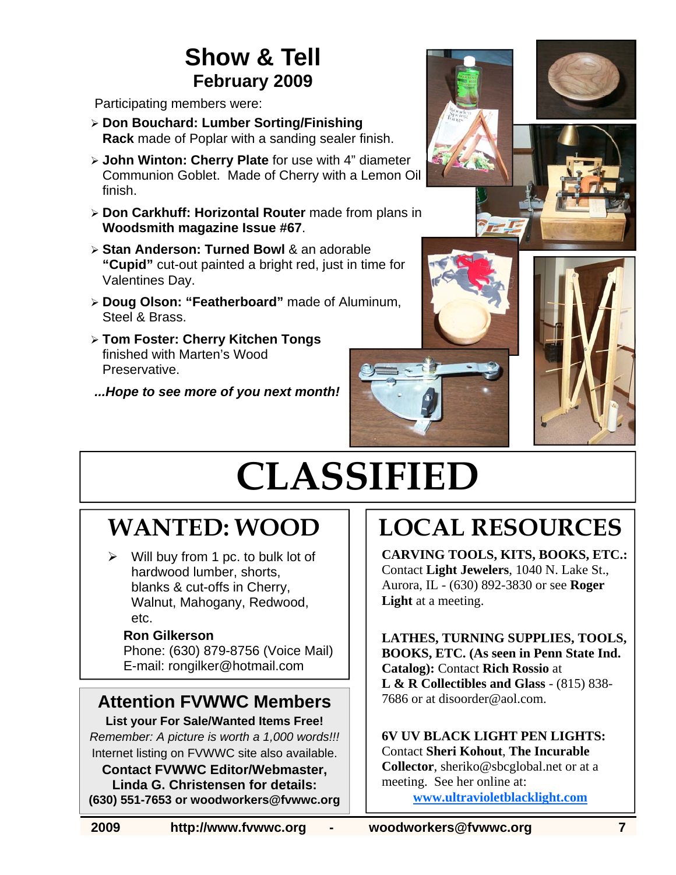## **Show & Tell February 2009**

Participating members were:

- ¾ **Don Bouchard: Lumber Sorting/Finishing Rack** made of Poplar with a sanding sealer finish.
- ¾ **John Winton: Cherry Plate** for use with 4" diameter Communion Goblet. Made of Cherry with a Lemon Oil finish.
- ¾ **Don Carkhuff: Horizontal Router** made from plans in **Woodsmith magazine Issue #67**.
- ¾ **Stan Anderson: Turned Bowl** & an adorable **"Cupid"** cut-out painted a bright red, just in time for Valentines Day.
- ¾ **Doug Olson: "Featherboard"** made of Aluminum, Steel & Brass.
- ¾ **Tom Foster: Cherry Kitchen Tongs**  finished with Marten's Wood Preservative.

*...Hope to see more of you next month!* 







# **CLASSIFIED**

# **WANTED: WOOD**

Will buy from 1 pc. to bulk lot of hardwood lumber, shorts, blanks & cut-offs in Cherry, Walnut, Mahogany, Redwood, etc.

#### **Ron Gilkerson**

Phone: (630) 879-8756 (Voice Mail) E-mail: rongilker@hotmail.com

### **Attention FVWWC Members**

**List your For Sale/Wanted Items Free!**  *Remember: A picture is worth a 1,000 words!!!*  Internet listing on FVWWC site also available.

**Contact FVWWC Editor/Webmaster, Linda G. Christensen for details: (630) 551-7653 or woodworkers@fvwwc.org** 

# **LOCAL RESOURCES**

**CARVING TOOLS, KITS, BOOKS, ETC.:**  Contact **Light Jewelers**, 1040 N. Lake St., Aurora, IL - (630) 892-3830 or see **Roger Light** at a meeting.

**LATHES, TURNING SUPPLIES, TOOLS, BOOKS, ETC. (As seen in Penn State Ind. Catalog):** Contact **Rich Rossio** at **L & R Collectibles and Glass** - (815) 838- 7686 or at disoorder@aol.com.

**6V UV BLACK LIGHT PEN LIGHTS:**  Contact **Sheri Kohout**, **The Incurable Collector**, sheriko@sbcglobal.net or at a meeting. See her online at:

**www.ultravioletblacklight.com**

**2009 http://www.fvwwc.org - woodworkers@fvwwc.org 7**